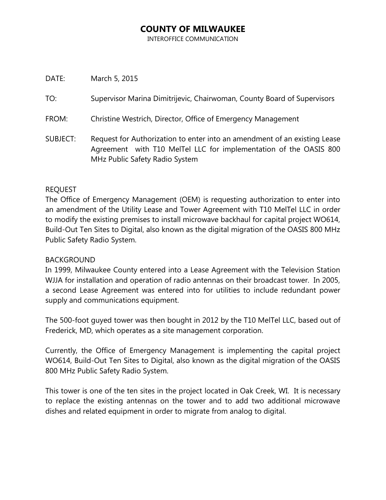# **COUNTY OF MILWAUKEE**

INTEROFFICE COMMUNICATION

DATE: March 5, 2015

TO: Supervisor Marina Dimitrijevic, Chairwoman, County Board of Supervisors

- FROM: Christine Westrich, Director, Office of Emergency Management
- SUBJECT: Request for Authorization to enter into an amendment of an existing Lease Agreement with T10 MelTel LLC for implementation of the OASIS 800 MHz Public Safety Radio System

### REQUEST

The Office of Emergency Management (OEM) is requesting authorization to enter into an amendment of the Utility Lease and Tower Agreement with T10 MelTel LLC in order to modify the existing premises to install microwave backhaul for capital project WO614, Build-Out Ten Sites to Digital, also known as the digital migration of the OASIS 800 MHz Public Safety Radio System.

### BACKGROUND

In 1999, Milwaukee County entered into a Lease Agreement with the Television Station WJJA for installation and operation of radio antennas on their broadcast tower. In 2005, a second Lease Agreement was entered into for utilities to include redundant power supply and communications equipment.

The 500-foot guyed tower was then bought in 2012 by the T10 MelTel LLC, based out of Frederick, MD, which operates as a site management corporation.

Currently, the Office of Emergency Management is implementing the capital project WO614, Build-Out Ten Sites to Digital, also known as the digital migration of the OASIS 800 MHz Public Safety Radio System.

This tower is one of the ten sites in the project located in Oak Creek, WI. It is necessary to replace the existing antennas on the tower and to add two additional microwave dishes and related equipment in order to migrate from analog to digital.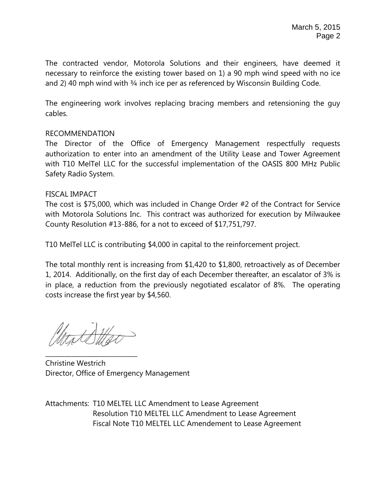The contracted vendor, Motorola Solutions and their engineers, have deemed it necessary to reinforce the existing tower based on 1) a 90 mph wind speed with no ice and 2) 40 mph wind with 3/4 inch ice per as referenced by Wisconsin Building Code.

The engineering work involves replacing bracing members and retensioning the guy cables.

## RECOMMENDATION

The Director of the Office of Emergency Management respectfully requests authorization to enter into an amendment of the Utility Lease and Tower Agreement with T10 MelTel LLC for the successful implementation of the OASIS 800 MHz Public Safety Radio System.

### FISCAL IMPACT

The cost is \$75,000, which was included in Change Order #2 of the Contract for Service with Motorola Solutions Inc. This contract was authorized for execution by Milwaukee County Resolution #13-886, for a not to exceed of \$17,751,797.

T10 MelTel LLC is contributing \$4,000 in capital to the reinforcement project.

The total monthly rent is increasing from \$1,420 to \$1,800, retroactively as of December 1, 2014. Additionally, on the first day of each December thereafter, an escalator of 3% is in place, a reduction from the previously negotiated escalator of 8%. The operating costs increase the first year by \$4,560.

**\_\_\_\_\_\_\_\_\_\_\_\_\_\_\_\_\_\_\_\_\_\_\_\_\_\_\_\_\_**

Christine Westrich Director, Office of Emergency Management

Attachments: T10 MELTEL LLC Amendment to Lease Agreement Resolution T10 MELTEL LLC Amendment to Lease Agreement Fiscal Note T10 MELTEL LLC Amendement to Lease Agreement